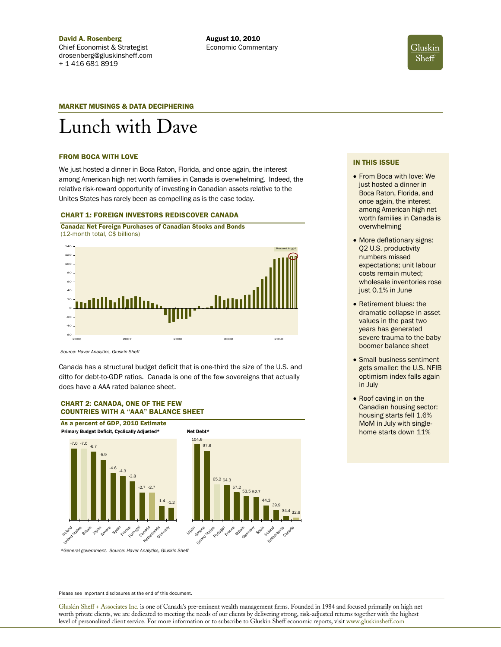

## MARKET MUSINGS & DATA DECIPHERING

# Lunch with Dave

### FROM BOCA WITH LOVE

We just hosted a dinner in Boca Raton, Florida, and once again, the interest among American high net worth families in Canada is overwhelming. Indeed, the relative risk-reward opportunity of investing in Canadian assets relative to the Unites States has rarely been as compelling as is the case today.

# CHART 1: FOREIGN INVESTORS REDISCOVER CANADA

Canada: Net Foreign Purchases of Canadian Stocks and Bonds (12-month total, C\$ billions)



*Source: Haver Analytics, Gluskin Sheff* 

Canada has a structural budget deficit that is one-third the size of the U.S. and ditto for debt-to-GDP ratios. Canada is one of the few sovereigns that actually does have a AAA rated balance sheet.

# CHART 2: CANADA, ONE OF THE FEW COUNTRIES WITH A "AAA" BALANCE SHEET



*\*General government. Source: Haver Analytics, Gluskin Sheff* 

IN THIS ISSUE

- From Boca with love: We just hosted a dinner in Boca Raton, Florida, and once again, the interest among American high net worth families in Canada is overwhelming
- More deflationary signs: Q2 U.S. productivity numbers missed expectations; unit labour costs remain muted; wholesale inventories rose just 0.1% in June
- Retirement blues: the dramatic collapse in asset values in the past two years has generated severe trauma to the baby boomer balance sheet
- Small business sentiment gets smaller: the U.S. NFIB optimism index falls again in July
- Roof caving in on the Canadian housing sector: housing starts fell 1.6% MoM in July with singlehome starts down 11%

Please see important disclosures at the end of this document.

Gluskin Sheff + Associates Inc. is one of Canada's pre-eminent wealth management firms. Founded in 1984 and focused primarily on high net worth private clients, we are dedicated to meeting the needs of our clients by delivering strong, risk-adjusted returns together with the highest level of personalized client service. For more information or to subscribe to Gluskin Sheff economic reports**,** visit www.gluskinsheff.com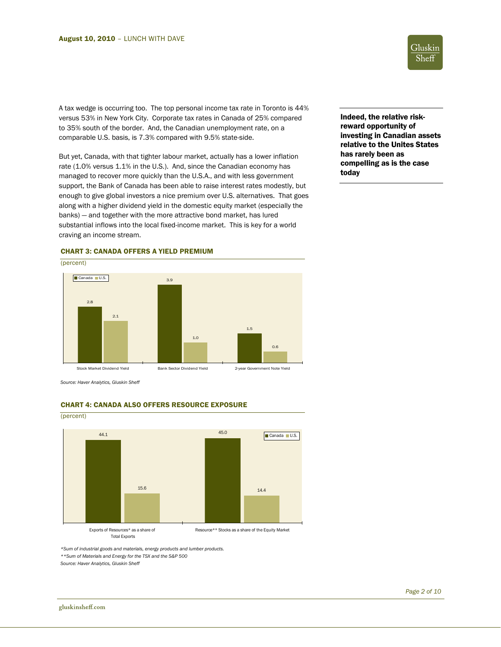Gluskin Sheff

A tax wedge is occurring too. The top personal income tax rate in Toronto is 44% versus 53% in New York City. Corporate tax rates in Canada of 25% compared to 35% south of the border. And, the Canadian unemployment rate, on a comparable U.S. basis, is 7.3% compared with 9.5% state-side.

But yet, Canada, with that tighter labour market, actually has a lower inflation rate (1.0% versus 1.1% in the U.S.). And, since the Canadian economy has managed to recover more quickly than the U.S.A., and with less government support, the Bank of Canada has been able to raise interest rates modestly, but enough to give global investors a nice premium over U.S. alternatives. That goes



Indeed, the relative riskreward opportunity of investing in Canadian assets relative to the Unites States has rarely been as compelling as is the case today



*Source: Haver Analytics, Gluskin Sheff* 



CHART 4: CANADA ALSO OFFERS RESOURCE EXPOSURE

*\*Sum of industrial goods and materials, energy products and lumber products. \*\*Sum of Materials and Energy for the TSX and the S&P 500 Source: Haver Analytics, Gluskin Sheff* 

j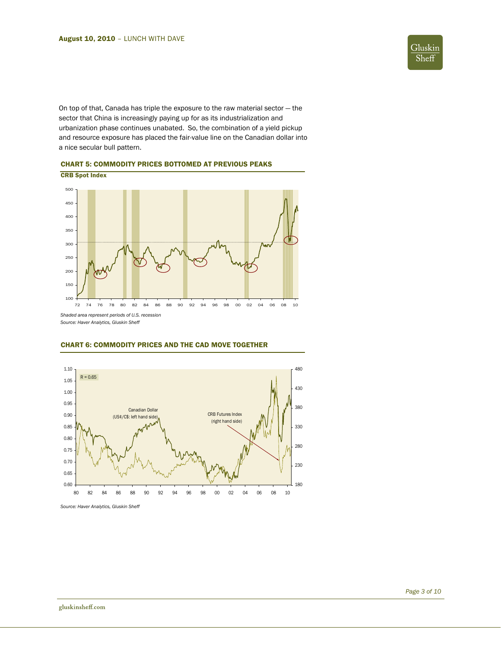

On top of that, Canada has triple the exposure to the raw material sector — the sector that China is increasingly paying up for as its industrialization and urbanization phase continues unabated. So, the combination of a yield pickup and resource exposure has placed the fair-value line on the Canadian dollar into a nice secular bull pattern.

CHART 5: COMMODITY PRICES BOTTOMED AT PREVIOUS PEAKS



*Source: Haver Analytics, Gluskin Sheff* 



# CHART 6: COMMODITY PRICES AND THE CAD MOVE TOGETHER

*Source: Haver Analytics, Gluskin Sheff*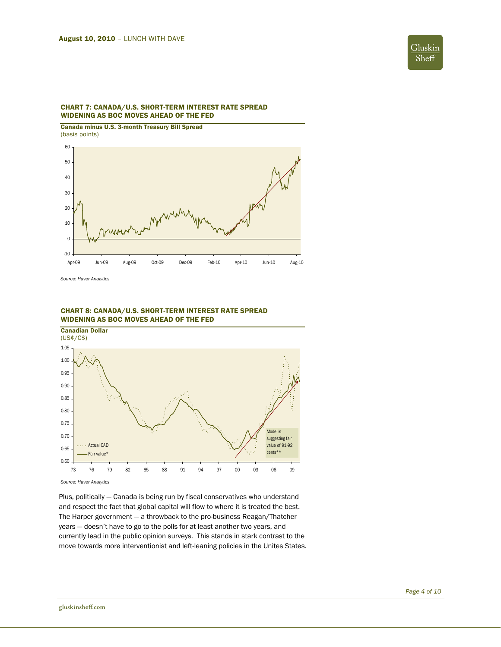

# CHART 7: CANADA/U.S. SHORT-TERM INTEREST RATE SPREAD WIDENING AS BOC MOVES AHEAD OF THE FED

Canada minus U.S. 3-month Treasury Bill Spread (basis points)



*Source: Haver Analytics* 



# CHART 8: CANADA/U.S. SHORT-TERM INTEREST RATE SPREAD WIDENING AS BOC MOVES AHEAD OF THE FED

*Source: Haver Analytics* 

Plus, politically — Canada is being run by fiscal conservatives who understand and respect the fact that global capital will flow to where it is treated the best. The Harper government — a throwback to the pro-business Reagan/Thatcher years — doesn't have to go to the polls for at least another two years, and currently lead in the public opinion surveys. This stands in stark contrast to the move towards more interventionist and left-leaning policies in the Unites States.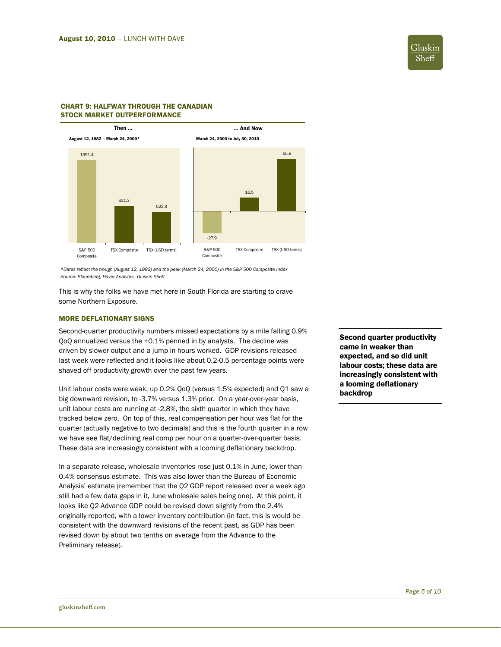

# CHART 9: HALFWAY THROUGH THE CANADIAN STOCK MARKET OUTPERFORMANCE



*\*Dates reflect the trough (August 12, 1982) and the peak (March 24, 2000) in the S&P 500 Composite Index Source: Bloomberg, Haver Analytics, Gluskin Sheff* 

This is why the folks we have met here in South Florida are starting to crave some Northern Exposure.

# MORE DEFLATIONARY SIGNS

Second-quarter productivity numbers missed expectations by a mile falling 0.9% QoQ annualized versus the +0.1% penned in by analysts. The decline was driven by slower output and a jump in hours worked. GDP revisions released last week were reflected and it looks like about 0.2-0.5 percentage points were shaved off productivity growth over the past few years.

Unit labour costs were weak, up 0.2% QoQ (versus 1.5% expected) and Q1 saw a big downward revision, to -3.7% versus 1.3% prior. On a year-over-year basis, unit labour costs are running at -2.8%, the sixth quarter in which they have tracked below zero. On top of this, real compensation per hour was flat for the quarter (actually negative to two decimals) and this is the fourth quarter in a row we have see flat/declining real comp per hour on a quarter-over-quarter basis. These data are increasingly consistent with a looming deflationary backdrop.

In a separate release, wholesale inventories rose just 0.1% in June, lower than 0.4% consensus estimate. This was also lower than the Bureau of Economic Analysis' estimate (remember that the Q2 GDP report released over a week ago still had a few data gaps in it, June wholesale sales being one). At this point, it looks like Q2 Advance GDP could be revised down slightly from the 2.4% originally reported, with a lower inventory contribution (in fact, this is would be consistent with the downward revisions of the recent past, as GDP has been revised down by about two tenths on average from the Advance to the Preliminary release).

Second quarter productivity came in weaker than expected, and so did unit labour costs; these data are increasingly consistent with a looming deflationary backdrop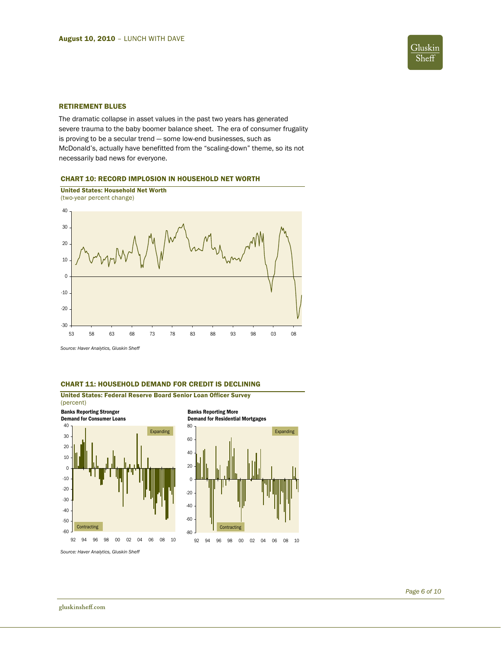

## RETIREMENT BLUES

The dramatic collapse in asset values in the past two years has generated severe trauma to the baby boomer balance sheet. The era of consumer frugality is proving to be a secular trend — some low-end businesses, such as McDonald's, actually have benefitted from the "scaling-down" theme, so its not necessarily bad news for everyone.

# CHART 10: RECORD IMPLOSION IN HOUSEHOLD NET WORTH



*Source: Haver Analytics, Gluskin Sheff* 

# CHART 11: HOUSEHOLD DEMAND FOR CREDIT IS DECLINING



*Source: Haver Analytics, Gluskin Sheff*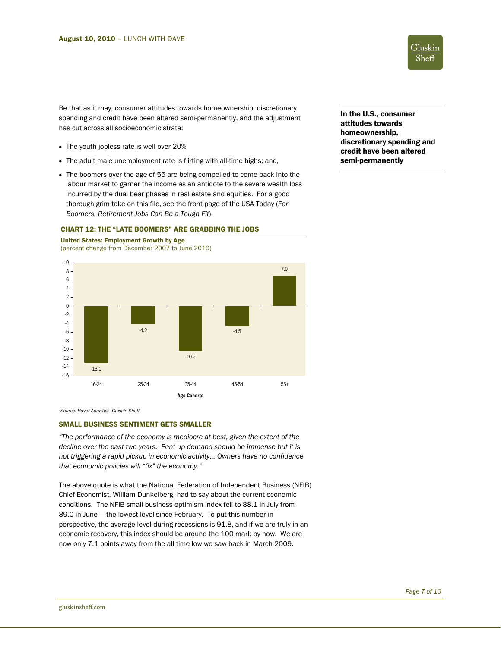

Be that as it may, consumer attitudes towards homeownership, discretionary spending and credit have been altered semi-permanently, and the adjustment has cut across all socioeconomic strata:

• The youth jobless rate is well over 20%

United States: Employment Growth by Age

- The adult male unemployment rate is flirting with all-time highs; and,
- The boomers over the age of 55 are being compelled to come back into the labour market to garner the income as an antidote to the severe wealth loss incurred by the dual bear phases in real estate and equities. For a good thorough grim take on this file, see the front page of the USA Today (*For Boomers, Retirement Jobs Can Be a Tough Fit*).

#### (percent change from December 2007 to June 2010) -13.1 -4.2 -10.2 -4.5 7.0 -16 -14 -12 -10 -8 -6 -4 -2 0 2 4 6 8 10 16-24 25-34 35-44 45-54 55+ Age Cohorts

# CHART 12: THE "LATE BOOMERS" ARE GRABBING THE JOBS

*Source: Haver Analytics, Gluskin Sheff* 

# SMALL BUSINESS SENTIMENT GETS SMALLER

*"The performance of the economy is mediocre at best, given the extent of the decline over the past two years. Pent up demand should be immense but it is not triggering a rapid pickup in economic activity… Owners have no confidence that economic policies will "fix" the economy."* 

The above quote is what the National Federation of Independent Business (NFIB) Chief Economist, William Dunkelberg, had to say about the current economic conditions. The NFIB small business optimism index fell to 88.1 in July from 89.0 in June — the lowest level since February. To put this number in perspective, the average level during recessions is 91.8, and if we are truly in an economic recovery, this index should be around the 100 mark by now. We are now only 7.1 points away from the all time low we saw back in March 2009.

In the U.S., consumer attitudes towards homeownership, discretionary spending and credit have been altered semi-permanently

j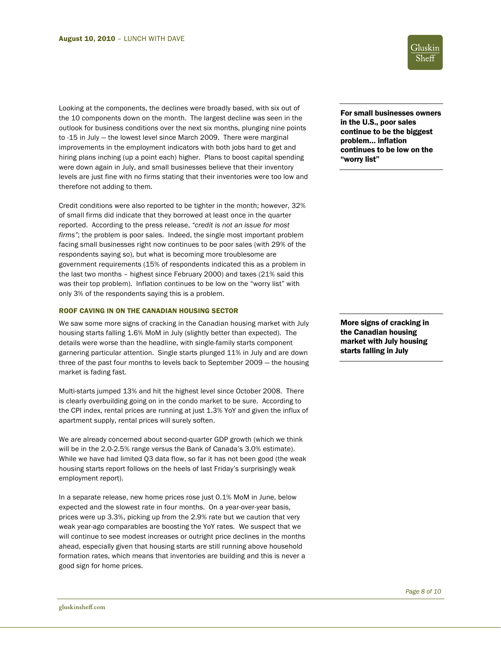Looking at the components, the declines were broadly based, with six out of the 10 components down on the month. The largest decline was seen in the outlook for business conditions over the next six months, plunging nine points to -15 in July — the lowest level since March 2009. There were marginal improvements in the employment indicators with both jobs hard to get and hiring plans inching (up a point each) higher. Plans to boost capital spending were down again in July, and small businesses believe that their inventory levels are just fine with no firms stating that their inventories were too low and therefore not adding to them.

Credit conditions were also reported to be tighter in the month; however, 32% of small firms did indicate that they borrowed at least once in the quarter reported. According to the press release, *"credit is not an issue for most firms"*; the problem is poor sales. Indeed, the single most important problem facing small businesses right now continues to be poor sales (with 29% of the respondents saying so), but what is becoming more troublesome are government requirements (15% of respondents indicated this as a problem in the last two months – highest since February 2000) and taxes (21% said this was their top problem). Inflation continues to be low on the "worry list" with only 3% of the respondents saying this is a problem.

# ROOF CAVING IN ON THE CANADIAN HOUSING SECTOR

We saw some more signs of cracking in the Canadian housing market with July housing starts falling 1.6% MoM in July (slightly better than expected). The details were worse than the headline, with single-family starts component garnering particular attention. Single starts plunged 11% in July and are down three of the past four months to levels back to September 2009 — the housing market is fading fast.

Multi-starts jumped 13% and hit the highest level since October 2008. There is clearly overbuilding going on in the condo market to be sure. According to the CPI index, rental prices are running at just 1.3% YoY and given the influx of apartment supply, rental prices will surely soften.

We are already concerned about second-quarter GDP growth (which we think will be in the 2.0-2.5% range versus the Bank of Canada's 3.0% estimate). While we have had limited Q3 data flow, so far it has not been good (the weak housing starts report follows on the heels of last Friday's surprisingly weak employment report).

In a separate release, new home prices rose just 0.1% MoM in June, below expected and the slowest rate in four months. On a year-over-year basis, prices were up 3.3%, picking up from the 2.9% rate but we caution that very weak year-ago comparables are boosting the YoY rates. We suspect that we will continue to see modest increases or outright price declines in the months ahead, especially given that housing starts are still running above household formation rates, which means that inventories are building and this is never a good sign for home prices.



For small businesses owners in the U.S., poor sales continue to be the biggest problem… inflation continues to be low on the "worry list"

More signs of cracking in the Canadian housing market with July housing starts falling in July

j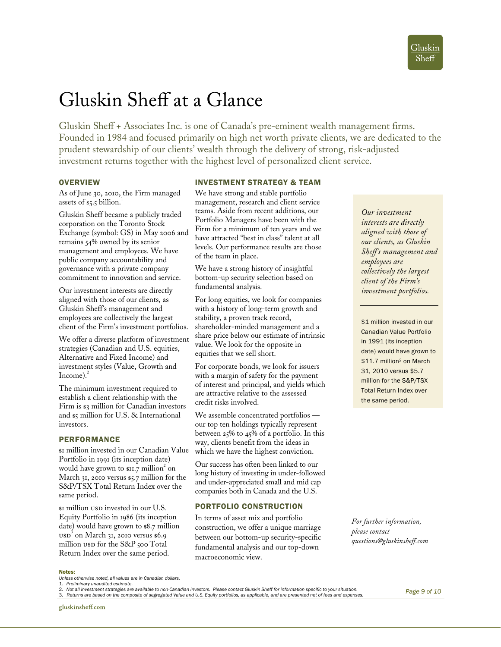# Gluskin Sheff at a Glance

Gluskin Sheff + Associates Inc. is one of Canada's pre-eminent wealth management firms. Founded in 1984 and focused primarily on high net worth private clients, we are dedicated to the prudent stewardship of our clients' wealth through the delivery of strong, risk-adjusted investment returns together with the highest level of personalized client service.

# **OVERVIEW**

As of June 30, 2010, the Firm managed assets of  $$5.5$  billion.<sup>1</sup>

Gluskin Sheff became a publicly traded corporation on the Toronto Stock Exchange (symbol: GS) in May 2006 and remains 54% owned by its senior management and employees. We have public company accountability and governance with a private company commitment to innovation and service.

Our investment interests are directly aligned with those of our clients, as Gluskin Sheff's management and employees are collectively the largest client of the Firm's investment portfolios.

We offer a diverse platform of investment strategies (Canadian and U.S. equities, Alternative and Fixed Income) and investment styles (Value, Growth and Income). $^{2}$ 

The minimum investment required to establish a client relationship with the Firm is \$3 million for Canadian investors and \$5 million for U.S. & International investors.

# PERFORMANCE

\$1 million invested in our Canadian Value Portfolio in 1991 (its inception date) would have grown to  $\operatorname{snz}$  million<sup>2</sup> on March 31, 2010 versus \$5.7 million for the S&P/TSX Total Return Index over the same period.

 $\text{sn}$  million usp invested in our U.S. Equity Portfolio in 1986 (its inception date) would have grown to \$8.7 million  $\text{usp}^3$  on March 31, 2010 versus \$6.9 million usp for the S&P 500 Total Return Index over the same period.

# INVESTMENT STRATEGY & TEAM

We have strong and stable portfolio management, research and client service teams. Aside from recent additions, our Portfolio Managers have been with the Firm for a minimum of ten years and we have attracted "best in class" talent at all levels. Our performance results are those of the team in place.

We have a strong history of insightful bottom-up security selection based on fundamental analysis.

For long equities, we look for companies with a history of long-term growth and stability, a proven track record, shareholder-minded management and a share price below our estimate of intrinsic value. We look for the opposite in equities that we sell short.

For corporate bonds, we look for issuers with a margin of safety for the payment of interest and principal, and yields which are attractive relative to the assessed credit risks involved.

We assemble concentrated portfolios our top ten holdings typically represent between 25% to 45% of a portfolio. In this way, clients benefit from the ideas in which we have the highest conviction.

Our success has often been linked to our long history of investing in under-followed and under-appreciated small and mid cap companies both in Canada and the U.S.

# PORTFOLIO CONSTRUCTION

In terms of asset mix and portfolio construction, we offer a unique marriage between our bottom-up security-specific fundamental analysis and our top-down macroeconomic view.

*Our investment interests are directly aligned with those of our clients, as Gluskin Sheff's management and employees are collectively the largest client of the Firm's investment portfolios.* 

\$1 million invested in our Canadian Value Portfolio in 1991 (its inception date) would have grown to \$11.7 million<sup>2</sup> on March 31, 2010 versus \$5.7 million for the S&P/TSX Total Return Index over the same period.

*For further information, please contact questions@gluskinsheff.com* 

#### Notes:

*Unless otherwise noted, all values are in Canadian dollars.* 

*Page 9 of 10*

 1. *Preliminary unaudited estimate.* 

<sup>2.</sup> *Not all investment strategies are available to non-Canadian investors. Please contact Gluskin Sheff for information specific to your situation.* 

<sup>3.</sup> j 3. *Returns are based on the composite of segregated Value and U.S. Equity portfolios, as applicable, and are presented net of fees and expenses.*